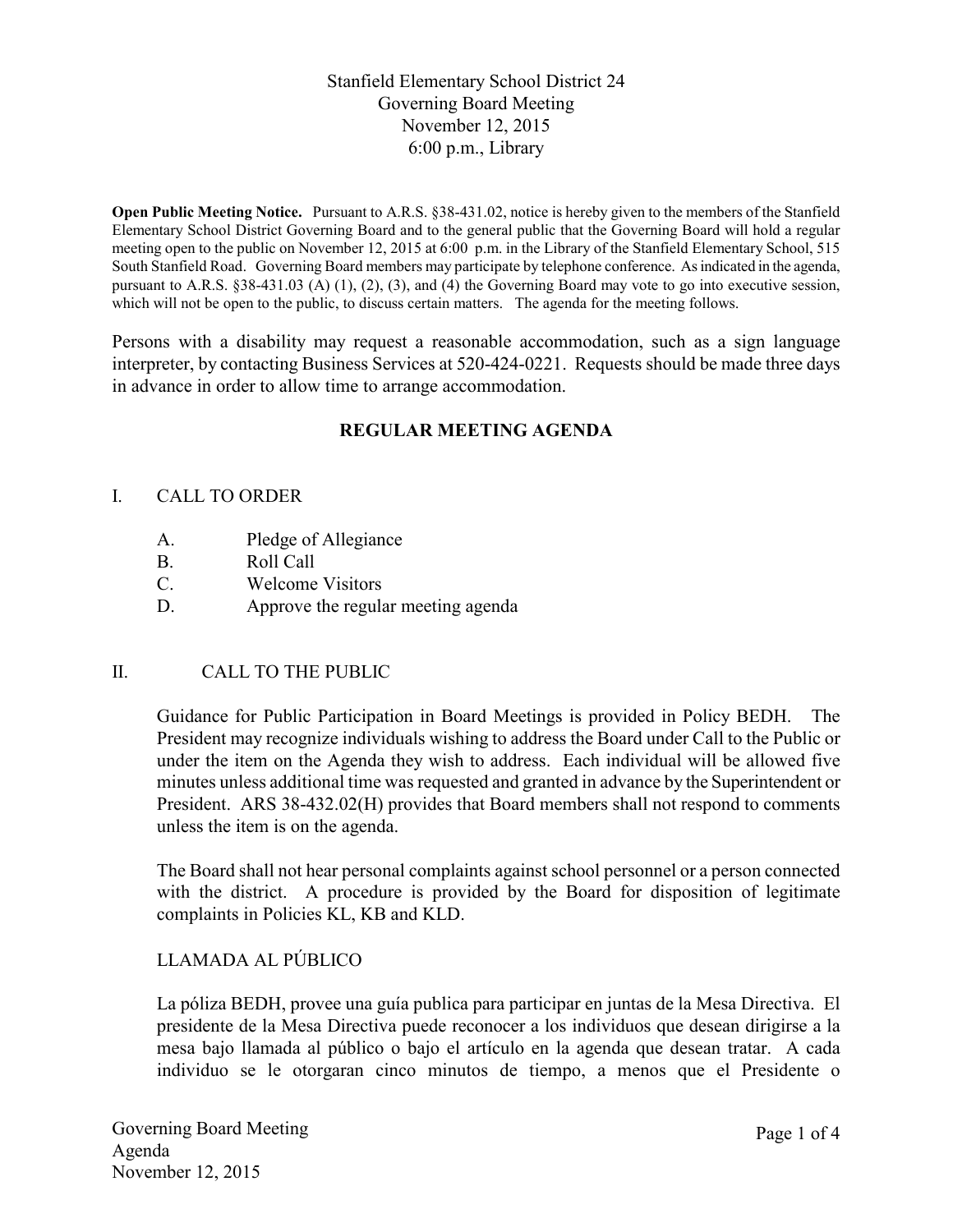# Stanfield Elementary School District 24 Governing Board Meeting November 12, 2015 6:00 p.m., Library

**Open Public Meeting Notice.** Pursuant to A.R.S. §38-431.02, notice is hereby given to the members of the Stanfield Elementary School District Governing Board and to the general public that the Governing Board will hold a regular meeting open to the public on November 12, 2015 at 6:00 p.m. in the Library of the Stanfield Elementary School, 515 South Stanfield Road. Governing Board members may participate by telephone conference. As indicated in the agenda, pursuant to A.R.S. §38-431.03 (A) (1), (2), (3), and (4) the Governing Board may vote to go into executive session, which will not be open to the public, to discuss certain matters. The agenda for the meeting follows.

Persons with a disability may request a reasonable accommodation, such as a sign language interpreter, by contacting Business Services at 520-424-0221. Requests should be made three days in advance in order to allow time to arrange accommodation.

# **REGULAR MEETING AGENDA**

#### I. CALL TO ORDER

- A. Pledge of Allegiance
- B. Roll Call
- C. Welcome Visitors
- D. Approve the regular meeting agenda

### II. CALL TO THE PUBLIC

Guidance for Public Participation in Board Meetings is provided in Policy BEDH. The President may recognize individuals wishing to address the Board under Call to the Public or under the item on the Agenda they wish to address. Each individual will be allowed five minutes unless additional time was requested and granted in advance by the Superintendent or President. ARS 38-432.02(H) provides that Board members shall not respond to comments unless the item is on the agenda.

The Board shall not hear personal complaints against school personnel or a person connected with the district. A procedure is provided by the Board for disposition of legitimate complaints in Policies KL, KB and KLD.

### LLAMADA AL PÚBLICO

La póliza BEDH, provee una guía publica para participar en juntas de la Mesa Directiva. El presidente de la Mesa Directiva puede reconocer a los individuos que desean dirigirse a la mesa bajo llamada al público o bajo el artículo en la agenda que desean tratar. A cada individuo se le otorgaran cinco minutos de tiempo, a menos que el Presidente o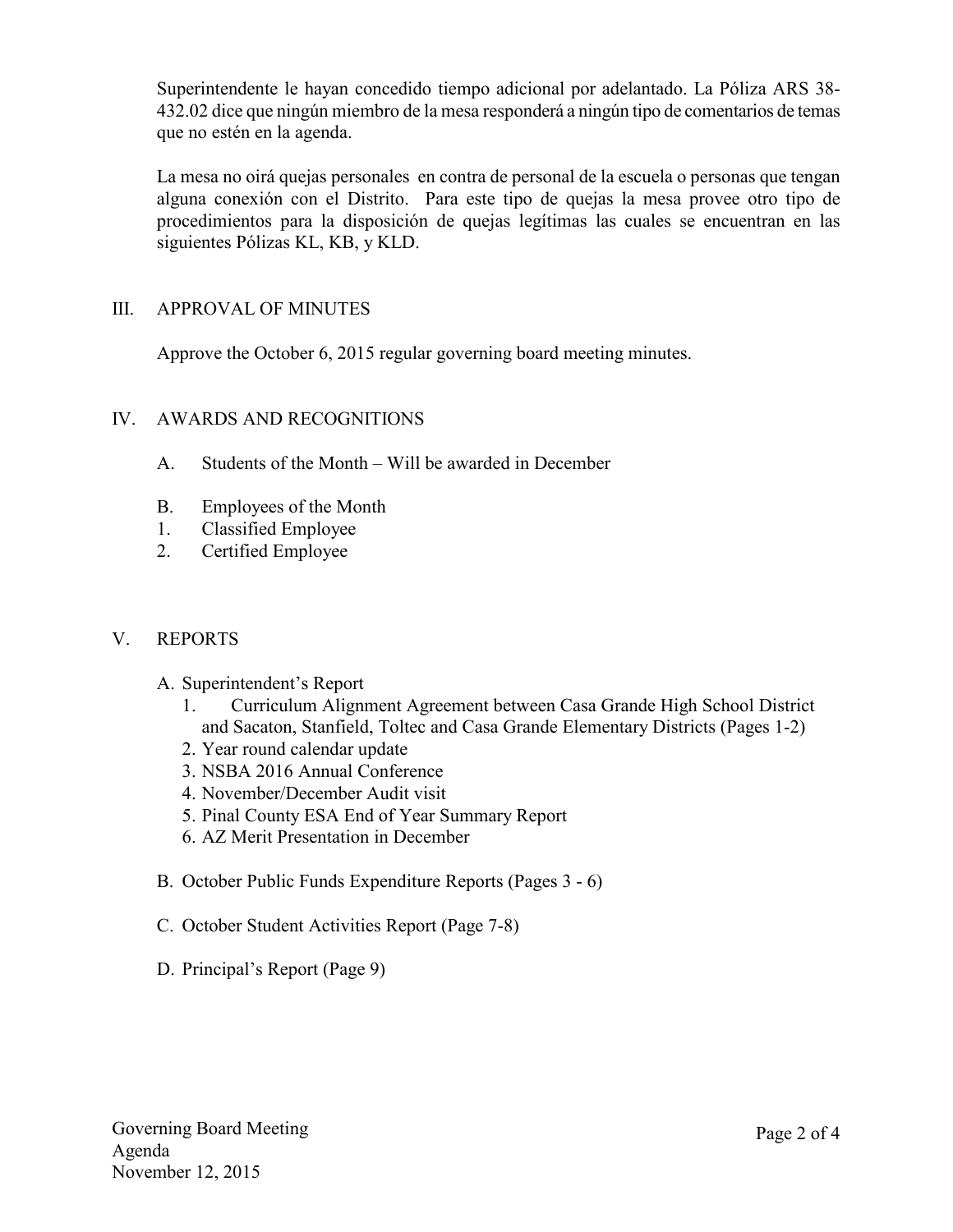Superintendente le hayan concedido tiempo adicional por adelantado. La Póliza ARS 38- 432.02 dice que ningún miembro de la mesa responderá a ningún tipo de comentarios de temas que no estén en la agenda.

La mesa no oirá quejas personales en contra de personal de la escuela o personas que tengan alguna conexión con el Distrito. Para este tipo de quejas la mesa provee otro tipo de procedimientos para la disposición de quejas legítimas las cuales se encuentran en las siguientes Pólizas KL, KB, y KLD.

### III. APPROVAL OF MINUTES

Approve the October 6, 2015 regular governing board meeting minutes.

### IV. AWARDS AND RECOGNITIONS

- A. Students of the Month Will be awarded in December
- B. Employees of the Month
- 1. Classified Employee
- 2. Certified Employee

### V. REPORTS

- A. Superintendent's Report
	- 1. Curriculum Alignment Agreement between Casa Grande High School District and Sacaton, Stanfield, Toltec and Casa Grande Elementary Districts (Pages 1-2)
	- 2. Year round calendar update
	- 3. NSBA 2016 Annual Conference
	- 4. November/December Audit visit
	- 5. Pinal County ESA End of Year Summary Report
	- 6. AZ Merit Presentation in December
- B. October Public Funds Expenditure Reports (Pages 3 6)
- C. October Student Activities Report (Page 7-8)
- D. Principal's Report (Page 9)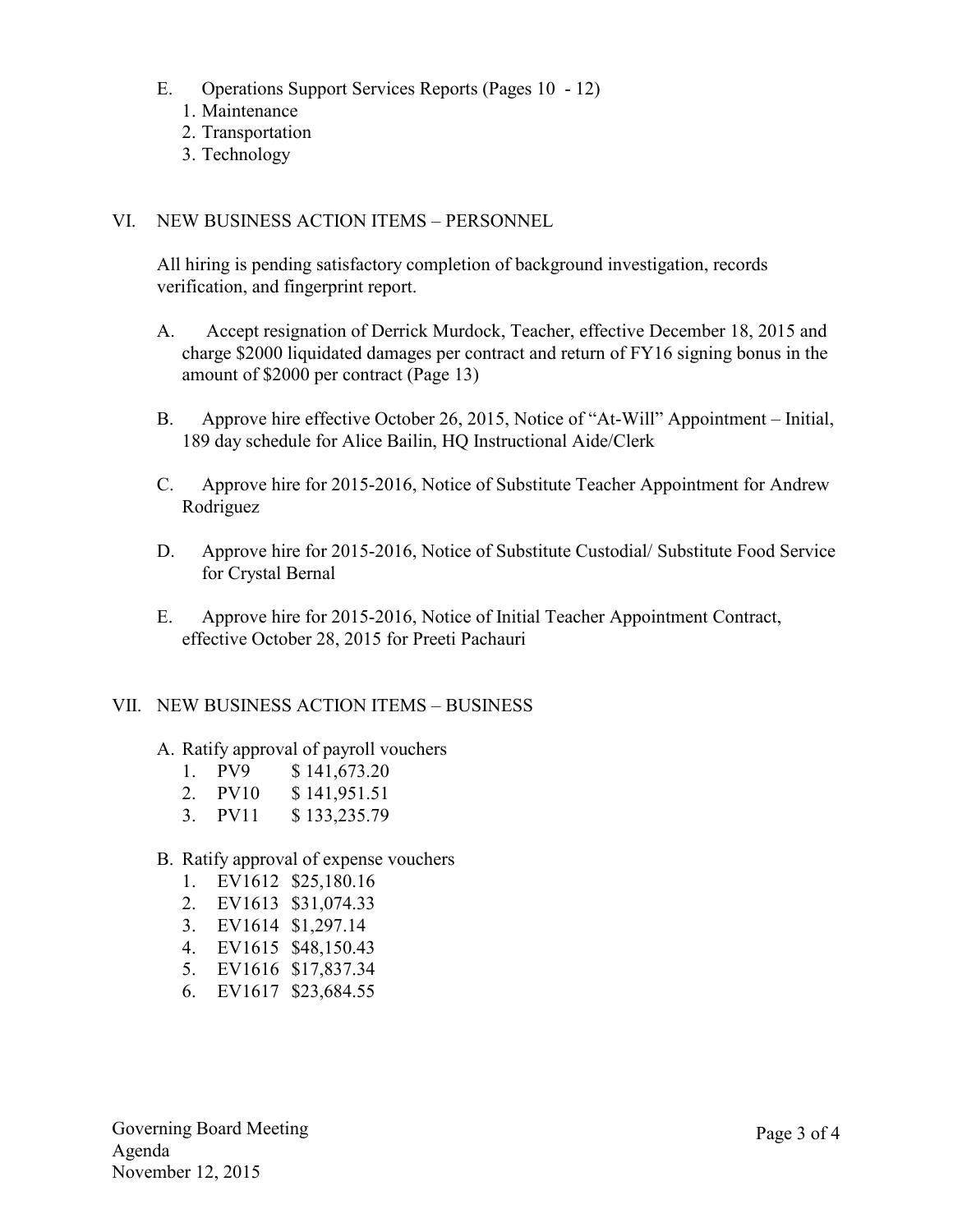- E. Operations Support Services Reports (Pages 10 12)
	- 1. Maintenance
	- 2. Transportation
	- 3. Technology

#### VI. NEW BUSINESS ACTION ITEMS – PERSONNEL

All hiring is pending satisfactory completion of background investigation, records verification, and fingerprint report.

- A. Accept resignation of Derrick Murdock, Teacher, effective December 18, 2015 and charge \$2000 liquidated damages per contract and return of FY16 signing bonus in the amount of \$2000 per contract (Page 13)
- B. Approve hire effective October 26, 2015, Notice of "At-Will" Appointment Initial, 189 day schedule for Alice Bailin, HQ Instructional Aide/Clerk
- C. Approve hire for 2015-2016, Notice of Substitute Teacher Appointment for Andrew Rodriguez
- D. Approve hire for 2015-2016, Notice of Substitute Custodial/ Substitute Food Service for Crystal Bernal
- E. Approve hire for 2015-2016, Notice of Initial Teacher Appointment Contract, effective October 28, 2015 for Preeti Pachauri

#### VII. NEW BUSINESS ACTION ITEMS – BUSINESS

- A. Ratify approval of payroll vouchers
	- 1. PV9 \$ 141,673.20
	- 2. PV10 \$ 141,951.51
	- 3. PV11 \$ 133,235.79
- B. Ratify approval of expense vouchers
	- 1. EV1612 \$25,180.16
	- 2. EV1613 \$31,074.33
	- 3. EV1614 \$1,297.14
	- 4. EV1615 \$48,150.43
	- 5. EV1616 \$17,837.34
	- 6. EV1617 \$23,684.55